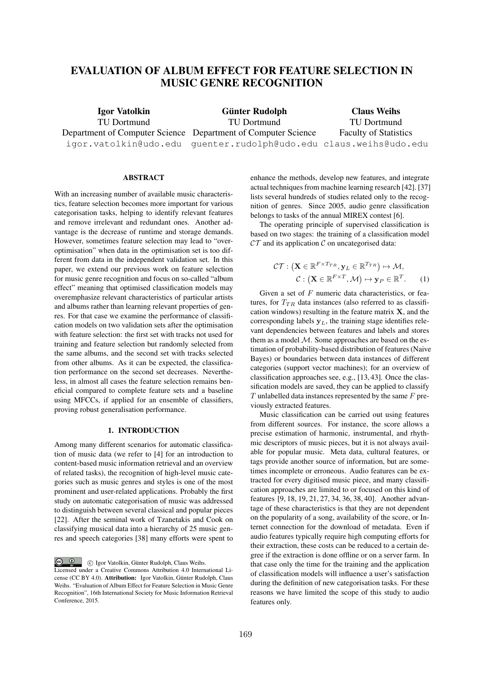# EVALUATION OF ALBUM EFFECT FOR FEATURE SELECTION IN MUSIC GENRE RECOGNITION

Igor Vatolkin TU Dortmund Department of Computer Science Department of Computer Science igor.vatolkin@udo.edu guenter.rudolph@udo.edu claus.weihs@udo.edu Günter Rudolph TU Dortmund Claus Weihs TU Dortmund Faculty of Statistics

#### ABSTRACT

With an increasing number of available music characteristics, feature selection becomes more important for various categorisation tasks, helping to identify relevant features and remove irrelevant and redundant ones. Another advantage is the decrease of runtime and storage demands. However, sometimes feature selection may lead to "overoptimisation" when data in the optimisation set is too different from data in the independent validation set. In this paper, we extend our previous work on feature selection for music genre recognition and focus on so-called "album effect" meaning that optimised classification models may overemphasize relevant characteristics of particular artists and albums rather than learning relevant properties of genres. For that case we examine the performance of classification models on two validation sets after the optimisation with feature selection: the first set with tracks not used for training and feature selection but randomly selected from the same albums, and the second set with tracks selected from other albums. As it can be expected, the classification performance on the second set decreases. Nevertheless, in almost all cases the feature selection remains beneficial compared to complete feature sets and a baseline using MFCCs, if applied for an ensemble of classifiers, proving robust generalisation performance.

## 1. INTRODUCTION

Among many different scenarios for automatic classification of music data (we refer to [4] for an introduction to content-based music information retrieval and an overview of related tasks), the recognition of high-level music categories such as music genres and styles is one of the most prominent and user-related applications. Probably the first study on automatic categorisation of music was addressed to distinguish between several classical and popular pieces [22]. After the seminal work of Tzanetakis and Cook on classifying musical data into a hierarchy of 25 music genres and speech categories [38] many efforts were spent to

 $\circ$   $\circ$ c Igor Vatolkin, Gunter Rudolph, Claus Weihs. ¨ Licensed under a Creative Commons Attribution 4.0 International License (CC BY 4.0). Attribution: Igor Vatolkin, Günter Rudolph, Claus Weihs. "Evaluation of Album Effect for Feature Selection in Music Genre Recognition", 16th International Society for Music Information Retrieval Conference, 2015.

enhance the methods, develop new features, and integrate actual techniques from machine learning research [42]. [37] lists several hundreds of studies related only to the recognition of genres. Since 2005, audio genre classification belongs to tasks of the annual MIREX contest [6].

The operating principle of supervised classification is based on two stages: the training of a classification model  $\mathcal{CT}$  and its application  $\mathcal C$  on uncategorised data:

$$
\mathcal{CT}: \left(\mathbf{X} \in \mathbb{R}^{F \times T_{TR}}, \mathbf{y}_L \in \mathbb{R}^{T_{TR}}\right) \mapsto \mathcal{M},
$$
  

$$
\mathcal{C}: \left(\mathbf{X} \in \mathbb{R}^{F \times T}, \mathcal{M}\right) \mapsto \mathbf{y}_P \in \mathbb{R}^T.
$$
 (1)

Given a set of *F* numeric data characteristics, or features, for  $T_{TR}$  data instances (also referred to as classification windows) resulting in the feature matrix  $X$ , and the corresponding labels  $y_L$ , the training stage identifies relevant dependencies between features and labels and stores them as a model *M*. Some approaches are based on the estimation of probability-based distribution of features (Naive Bayes) or boundaries between data instances of different categories (support vector machines); for an overview of classification approaches see, e.g., [13, 43]. Once the classification models are saved, they can be applied to classify *T* unlabelled data instances represented by the same *F* previously extracted features.

Music classification can be carried out using features from different sources. For instance, the score allows a precise estimation of harmonic, instrumental, and rhythmic descriptors of music pieces, but it is not always available for popular music. Meta data, cultural features, or tags provide another source of information, but are sometimes incomplete or erroneous. Audio features can be extracted for every digitised music piece, and many classification approaches are limited to or focused on this kind of features [9, 18, 19, 21, 27, 34, 36, 38, 40]. Another advantage of these characteristics is that they are not dependent on the popularity of a song, availability of the score, or Internet connection for the download of metadata. Even if audio features typically require high computing efforts for their extraction, these costs can be reduced to a certain degree if the extraction is done offline or on a server farm. In that case only the time for the training and the application of classification models will influence a user's satisfaction during the definition of new categorisation tasks. For these reasons we have limited the scope of this study to audio features only.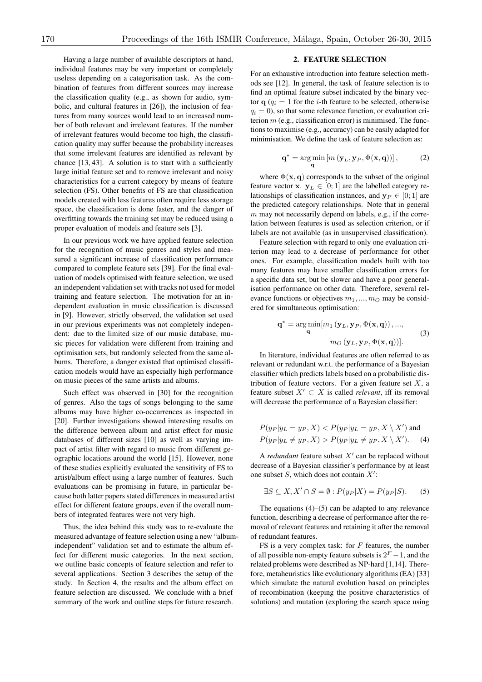Having a large number of available descriptors at hand, individual features may be very important or completely useless depending on a categorisation task. As the combination of features from different sources may increase the classification quality (e.g., as shown for audio, symbolic, and cultural features in [26]), the inclusion of features from many sources would lead to an increased number of both relevant and irrelevant features. If the number of irrelevant features would become too high, the classification quality may suffer because the probability increases that some irrelevant features are identified as relevant by chance [13, 43]. A solution is to start with a sufficiently large initial feature set and to remove irrelevant and noisy characteristics for a current category by means of feature selection (FS). Other benefits of FS are that classification models created with less features often require less storage space, the classification is done faster, and the danger of overfitting towards the training set may be reduced using a proper evaluation of models and feature sets [3].

In our previous work we have applied feature selection for the recognition of music genres and styles and measured a significant increase of classification performance compared to complete feature sets [39]. For the final evaluation of models optimised with feature selection, we used an independent validation set with tracks not used for model training and feature selection. The motivation for an independent evaluation in music classification is discussed in [9]. However, strictly observed, the validation set used in our previous experiments was not completely independent: due to the limited size of our music database, music pieces for validation were different from training and optimisation sets, but randomly selected from the same albums. Therefore, a danger existed that optimised classification models would have an especially high performance on music pieces of the same artists and albums.

Such effect was observed in [30] for the recognition of genres. Also the tags of songs belonging to the same albums may have higher co-occurrences as inspected in [20]. Further investigations showed interesting results on the difference between album and artist effect for music databases of different sizes [10] as well as varying impact of artist filter with regard to music from different geographic locations around the world [15]. However, none of these studies explicitly evaluated the sensitivity of FS to artist/album effect using a large number of features. Such evaluations can be promising in future, in particular because both latter papers stated differences in measured artist effect for different feature groups, even if the overall numbers of integrated features were not very high.

Thus, the idea behind this study was to re-evaluate the measured advantage of feature selection using a new "albumindependent" validation set and to estimate the album effect for different music categories. In the next section, we outline basic concepts of feature selection and refer to several applications. Section 3 describes the setup of the study. In Section 4, the results and the album effect on feature selection are discussed. We conclude with a brief summary of the work and outline steps for future research.

## 2. FEATURE SELECTION

For an exhaustive introduction into feature selection methods see [12]. In general, the task of feature selection is to find an optimal feature subset indicated by the binary vector  $\mathbf{q}$  ( $q_i = 1$  for the *i*-th feature to be selected, otherwise  $q_i = 0$ ), so that some relevance function, or evaluation criterion *m* (e.g., classification error) is minimised. The functions to maximise (e.g., accuracy) can be easily adapted for minimisation. We define the task of feature selection as:

$$
\mathbf{q}^* = \underset{\mathbf{q}}{\arg\min} \left[ m\left(\mathbf{y}_L, \mathbf{y}_P, \Phi(\mathbf{x}, \mathbf{q})\right) \right],\tag{2}
$$

where  $\Phi(\mathbf{x}, \mathbf{q})$  corresponds to the subset of the original feature vector **x**.  $y_L \in [0; 1]$  are the labelled category relationships of classification instances, and  $y_P \in [0; 1]$  are the predicted category relationships. Note that in general *m* may not necessarily depend on labels, e.g., if the correlation between features is used as selection criterion, or if labels are not available (as in unsupervised classification).

Feature selection with regard to only one evaluation criterion may lead to a decrease of performance for other ones. For example, classification models built with too many features may have smaller classification errors for a specific data set, but be slower and have a poor generalisation performance on other data. Therefore, several relevance functions or objectives  $m_1, ..., m_O$  may be considered for simultaneous optimisation:

$$
\mathbf{q}^* = \underset{\mathbf{q}}{\arg\min} [m_1(\mathbf{y}_L, \mathbf{y}_P, \Phi(\mathbf{x}, \mathbf{q})), ..., m_O(\mathbf{y}_L, \mathbf{y}_P, \Phi(\mathbf{x}, \mathbf{q}))].
$$
 (3)

In literature, individual features are often referred to as relevant or redundant w.r.t. the performance of a Bayesian classifier which predicts labels based on a probabilistic distribution of feature vectors. For a given feature set *X*, a feature subset  $X' \subset X$  is called *relevant*, iff its removal will decrease the performance of a Bayesian classifier:

$$
P(y_P|y_L = y_P, X) < P(y_P|y_L = y_P, X \setminus X') \text{ and}
$$
\n
$$
P(y_P|y_L \neq y_P, X) > P(y_P|y_L \neq y_P, X \setminus X'). \tag{4}
$$

A *redundant* feature subset  $X'$  can be replaced without decrease of a Bayesian classifier's performance by at least one subset  $S$ , which does not contain  $X'$ :

$$
\exists S \subseteq X, X' \cap S = \emptyset : P(y_P|X) = P(y_P|S). \tag{5}
$$

The equations  $(4)$ – $(5)$  can be adapted to any relevance function, describing a decrease of performance after the removal of relevant features and retaining it after the removal of redundant features.

FS is a very complex task: for *F* features, the number of all possible non-empty feature subsets is  $2^F - 1$ , and the related problems were described as NP-hard [1,14]. Therefore, metaheuristics like evolutionary algorithms (EA) [33] which simulate the natural evolution based on principles of recombination (keeping the positive characteristics of solutions) and mutation (exploring the search space using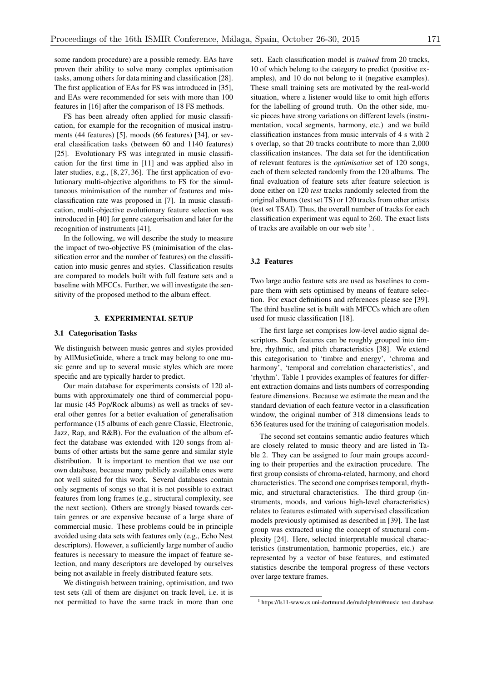some random procedure) are a possible remedy. EAs have proven their ability to solve many complex optimisation tasks, among others for data mining and classification [28]. The first application of EAs for FS was introduced in [35], and EAs were recommended for sets with more than 100 features in [16] after the comparison of 18 FS methods.

FS has been already often applied for music classification, for example for the recognition of musical instruments (44 features) [5], moods (66 features) [34], or several classification tasks (between 60 and 1140 features) [25]. Evolutionary FS was integrated in music classification for the first time in [11] and was applied also in later studies, e.g., [8, 27, 36]. The first application of evolutionary multi-objective algorithms to FS for the simultaneous minimisation of the number of features and misclassification rate was proposed in [7]. In music classification, multi-objective evolutionary feature selection was introduced in [40] for genre categorisation and later for the recognition of instruments [41].

In the following, we will describe the study to measure the impact of two-objective FS (minimisation of the classification error and the number of features) on the classification into music genres and styles. Classification results are compared to models built with full feature sets and a baseline with MFCCs. Further, we will investigate the sensitivity of the proposed method to the album effect.

### 3. EXPERIMENTAL SETUP

#### 3.1 Categorisation Tasks

We distinguish between music genres and styles provided by AllMusicGuide, where a track may belong to one music genre and up to several music styles which are more specific and are typically harder to predict.

Our main database for experiments consists of 120 albums with approximately one third of commercial popular music (45 Pop/Rock albums) as well as tracks of several other genres for a better evaluation of generalisation performance (15 albums of each genre Classic, Electronic, Jazz, Rap, and R&B). For the evaluation of the album effect the database was extended with 120 songs from albums of other artists but the same genre and similar style distribution. It is important to mention that we use our own database, because many publicly available ones were not well suited for this work. Several databases contain only segments of songs so that it is not possible to extract features from long frames (e.g., structural complexity, see the next section). Others are strongly biased towards certain genres or are expensive because of a large share of commercial music. These problems could be in principle avoided using data sets with features only (e.g., Echo Nest descriptors). However, a sufficiently large number of audio features is necessary to measure the impact of feature selection, and many descriptors are developed by ourselves being not available in freely distributed feature sets.

We distinguish between training, optimisation, and two test sets (all of them are disjunct on track level, i.e. it is not permitted to have the same track in more than one

set). Each classification model is *trained* from 20 tracks, 10 of which belong to the category to predict (positive examples), and 10 do not belong to it (negative examples). These small training sets are motivated by the real-world situation, where a listener would like to omit high efforts for the labelling of ground truth. On the other side, music pieces have strong variations on different levels (instrumentation, vocal segments, harmony, etc.) and we build classification instances from music intervals of 4 s with 2 s overlap, so that 20 tracks contribute to more than 2,000 classification instances. The data set for the identification of relevant features is the *optimisation* set of 120 songs, each of them selected randomly from the 120 albums. The final evaluation of feature sets after feature selection is done either on 120 *test* tracks randomly selected from the original albums (test set TS) or 120 tracks from other artists (test set TSAI). Thus, the overall number of tracks for each classification experiment was equal to 260. The exact lists of tracks are available on our web site  $<sup>1</sup>$ .</sup>

## 3.2 Features

Two large audio feature sets are used as baselines to compare them with sets optimised by means of feature selection. For exact definitions and references please see [39]. The third baseline set is built with MFCCs which are often used for music classification [18].

The first large set comprises low-level audio signal descriptors. Such features can be roughly grouped into timbre, rhythmic, and pitch characteristics [38]. We extend this categorisation to 'timbre and energy', 'chroma and harmony', 'temporal and correlation characteristics', and 'rhythm'. Table 1 provides examples of features for different extraction domains and lists numbers of corresponding feature dimensions. Because we estimate the mean and the standard deviation of each feature vector in a classification window, the original number of 318 dimensions leads to 636 features used for the training of categorisation models.

The second set contains semantic audio features which are closely related to music theory and are listed in Table 2. They can be assigned to four main groups according to their properties and the extraction procedure. The first group consists of chroma-related, harmony, and chord characteristics. The second one comprises temporal, rhythmic, and structural characteristics. The third group (instruments, moods, and various high-level characteristics) relates to features estimated with supervised classification models previously optimised as described in [39]. The last group was extracted using the concept of structural complexity [24]. Here, selected interpretable musical characteristics (instrumentation, harmonic properties, etc.) are represented by a vector of base features, and estimated statistics describe the temporal progress of these vectors over large texture frames.

<sup>1</sup> https://ls11-www.cs.uni-dortmund.de/rudolph/mi#music test database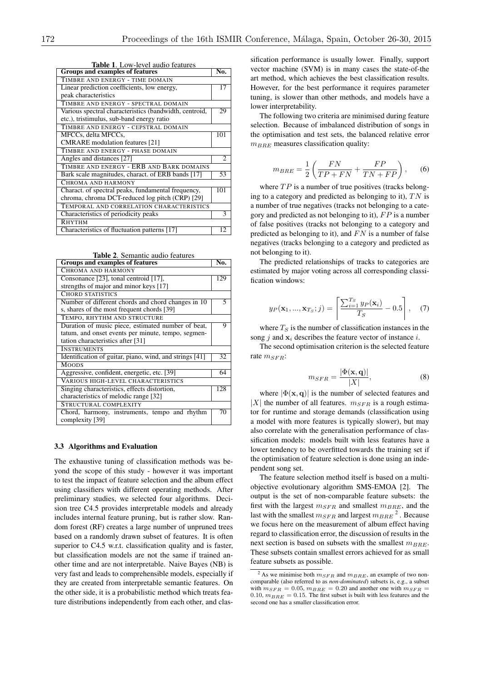| Table 1. Low-level audio leatures<br><b>Groups and examples of features</b> |                |  |  |  |
|-----------------------------------------------------------------------------|----------------|--|--|--|
| TIMBRE AND ENERGY - TIME DOMAIN                                             |                |  |  |  |
| Linear prediction coefficients, low energy,                                 | 17             |  |  |  |
| peak characteristics                                                        |                |  |  |  |
| TIMBRE AND ENERGY - SPECTRAL DOMAIN                                         |                |  |  |  |
| Various spectral characteristics (bandwidth, centroid,                      | 29             |  |  |  |
| etc.), tristimulus, sub-band energy ratio                                   |                |  |  |  |
| TIMBRE AND ENERGY - CEPSTRAL DOMAIN                                         |                |  |  |  |
| MFCCs, delta MFCCs,                                                         | 101            |  |  |  |
| <b>CMRARE</b> modulation features [21]                                      |                |  |  |  |
| TIMBRE AND ENERGY - PHASE DOMAIN                                            |                |  |  |  |
| Angles and distances [27]                                                   | $\overline{c}$ |  |  |  |
| TIMBRE AND ENERGY - ERB AND BARK DOMAINS                                    |                |  |  |  |
| Bark scale magnitudes, charact. of ERB bands [17]                           | 53             |  |  |  |
| CHROMA AND HARMONY                                                          |                |  |  |  |
| Charact. of spectral peaks, fundamental frequency,                          | 101            |  |  |  |
| chroma, chroma DCT-reduced log pitch (CRP) [29]                             |                |  |  |  |
| TEMPORAL AND CORRELATION CHARACTERISTICS                                    |                |  |  |  |
| Characteristics of periodicity peaks                                        | 3              |  |  |  |
| RHYTHM                                                                      |                |  |  |  |
| Characteristics of fluctuation patterns [17]                                | 12             |  |  |  |

Table 1. Low-level audio features

Table 2. Semantic audio features

| Groups and examples of features                                  |    |  |  |  |  |  |
|------------------------------------------------------------------|----|--|--|--|--|--|
| CHROMA AND HARMONY                                               |    |  |  |  |  |  |
| Consonance [23], tonal centroid [17],                            |    |  |  |  |  |  |
| strengths of major and minor keys [17]                           |    |  |  |  |  |  |
| <b>CHORD STATISTICS</b>                                          |    |  |  |  |  |  |
| Number of different chords and chord changes in 10               |    |  |  |  |  |  |
| s, shares of the most frequent chords [39]                       |    |  |  |  |  |  |
| TEMPO, RHYTHM AND STRUCTURE                                      |    |  |  |  |  |  |
| Duration of music piece, estimated number of beat,               |    |  |  |  |  |  |
| tatum, and onset events per minute, tempo, segmen-               |    |  |  |  |  |  |
| tation characteristics after [31]                                |    |  |  |  |  |  |
| <b>INSTRUMENTS</b>                                               |    |  |  |  |  |  |
| Identification of guitar, piano, wind, and strings [41]          |    |  |  |  |  |  |
| <b>MOODS</b>                                                     |    |  |  |  |  |  |
| Aggressive, confident, energetic, etc. [39]                      |    |  |  |  |  |  |
| VARIOUS HIGH-LEVEL CHARACTERISTICS                               |    |  |  |  |  |  |
| Singing characteristics, effects distortion,                     |    |  |  |  |  |  |
| characteristics of melodic range [32]                            |    |  |  |  |  |  |
| STRUCTURAL COMPLEXITY                                            |    |  |  |  |  |  |
| Chord, harmony, instruments, tempo and rhythm<br>complexity [39] | 70 |  |  |  |  |  |
|                                                                  |    |  |  |  |  |  |

#### 3.3 Algorithms and Evaluation

The exhaustive tuning of classification methods was beyond the scope of this study - however it was important to test the impact of feature selection and the album effect using classifiers with different operating methods. After preliminary studies, we selected four algorithms. Decision tree C4.5 provides interpretable models and already includes internal feature pruning, but is rather slow. Random forest (RF) creates a large number of unpruned trees based on a randomly drawn subset of features. It is often superior to C4.5 w.r.t. classification quality and is faster, but classification models are not the same if trained another time and are not interpretable. Naive Bayes (NB) is very fast and leads to comprehensible models, especially if they are created from interpretable semantic features. On the other side, it is a probabilistic method which treats feature distributions independently from each other, and classification performance is usually lower. Finally, support vector machine (SVM) is in many cases the state-of-the art method, which achieves the best classification results. However, for the best performance it requires parameter tuning, is slower than other methods, and models have a lower interpretability.

The following two criteria are minimised during feature selection. Because of imbalanced distribution of songs in the optimisation and test sets, the balanced relative error *mBRE* measures classification quality:

$$
m_{BRE} = \frac{1}{2} \left( \frac{FN}{TP + FN} + \frac{FP}{TN + FP} \right), \quad (6)
$$

where  $TP$  is a number of true positives (tracks belonging to a category and predicted as belonging to it), *T N* is a number of true negatives (tracks not belonging to a category and predicted as not belonging to it), *F P* is a number of false positives (tracks not belonging to a category and predicted as belonging to it), and *F N* is a number of false negatives (tracks belonging to a category and predicted as not belonging to it).

The predicted relationships of tracks to categories are estimated by major voting across all corresponding classification windows:

$$
y_P(\mathbf{x}_1, ..., \mathbf{x}_{T_S}; j) = \left[ \frac{\sum_{i=1}^{T_S} y_P(\mathbf{x}_i)}{T_S} - 0.5 \right], \quad (7)
$$

where *T<sup>S</sup>* is the number of classification instances in the song *j* and x*<sup>i</sup>* describes the feature vector of instance *i*.

The second optimisation criterion is the selected feature rate *mSFR*:

$$
m_{SFR} = \frac{|\Phi(\mathbf{x}, \mathbf{q})|}{|X|},\tag{8}
$$

where  $|\Phi(\mathbf{x}, \mathbf{q})|$  is the number of selected features and  $|X|$  the number of all features.  $m_{SFR}$  is a rough estimator for runtime and storage demands (classification using a model with more features is typically slower), but may also correlate with the generalisation performance of classification models: models built with less features have a lower tendency to be overfitted towards the training set if the optimisation of feature selection is done using an independent song set.

The feature selection method itself is based on a multiobjective evolutionary algorithm SMS-EMOA [2]. The output is the set of non-comparable feature subsets: the first with the largest  $m_{SFR}$  and smallest  $m_{BRE}$ , and the last with the smallest  $m_{SFR}$  and largest  $m_{BRE}$ <sup>2</sup>. Because we focus here on the measurement of album effect having regard to classification error, the discussion of results in the next section is based on subsets with the smallest  $m_{BRE}$ . These subsets contain smallest errors achieved for as small feature subsets as possible.

<sup>&</sup>lt;sup>2</sup> As we minimise both  $m_{SFR}$  and  $m_{BRE}$ , an example of two noncomparable (also referred to as *non-dominated*) subsets is, e.g., a subset with  $m_{SFR} = 0.05$ ,  $m_{BRE} = 0.20$  and another one with  $m_{SFR} =$ 0.10,  $m_{BRE} = 0.15$ . The first subset is built with less features and the second one has a smaller classification error.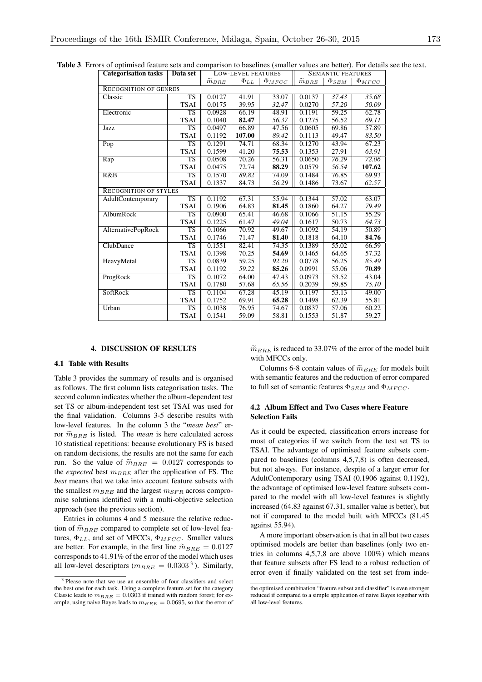| <b>Categorisation tasks</b>  | Data set               | LOW-LEVEL FEATURES |             | <b>SEMANTIC FEATURES</b> |                   |              |                     |  |  |
|------------------------------|------------------------|--------------------|-------------|--------------------------|-------------------|--------------|---------------------|--|--|
|                              |                        | $\tilde{m}_{BRE}$  | $\Phi_{LL}$ | $\Phi_{MFCC}$            | $\tilde{m}_{BRE}$ | $\Phi_{SEM}$ | $\Phi_{MFCC}$       |  |  |
| <b>RECOGNITION OF GENRES</b> |                        |                    |             |                          |                   |              |                     |  |  |
| Classic                      | <b>TS</b>              | 0.0127             | 41.91       | 33.07                    | 0.0137            | 37.43        | 35.68               |  |  |
|                              | <b>TSAI</b>            | 0.0175             | 39.95       | 32.47                    | 0.0270            | 57.20        | 50.09               |  |  |
| Electronic                   | $\overline{\text{TS}}$ | 0.0928             | 66.19       | 48.91                    | 0.1191            | 59.25        | 62.78               |  |  |
|                              | <b>TSAI</b>            | 0.1040             | 82.47       | 56.37                    | 0.1275            | 56.52        | 69.11               |  |  |
| Jazz                         | <b>TS</b>              | 0.0497             | 66.89       | 47.56                    | 0.0605            | 69.86        | 57.89               |  |  |
|                              | <b>TSAI</b>            | 0.1192             | 107.00      | 89.42                    | 0.1113            | 49.47        | 83.50               |  |  |
| Pop                          | $\overline{\text{TS}}$ | 0.1291             | 74.71       | 68.34                    | 0.1270            | 43.94        | 67.23               |  |  |
|                              | <b>TSAI</b>            | 0.1599             | 41.20       | 75.53                    | 0.1353            | 27.91        | 63.91               |  |  |
| Rap                          | <b>TS</b>              | 0.0508             | 70.26       | 56.31                    | 0.0650            | 76.29        | 72.06               |  |  |
|                              | <b>TSAI</b>            | 0.0475             | 72.74       | 88.29                    | 0.0579            | 56.54        | 107.62              |  |  |
| R&B                          | $\overline{\text{TS}}$ | 0.1570             | 89.82       | 74.09                    | 0.1484            | 76.85        | 69.93               |  |  |
|                              | <b>TSAI</b>            | 0.1337             | 84.73       | 56.29                    | 0.1486            | 73.67        | 62.57               |  |  |
| <b>RECOGNITION OF STYLES</b> |                        |                    |             |                          |                   |              |                     |  |  |
| AdultContemporary            | $\overline{\text{TS}}$ | 0.1192             | 67.31       | 55.94                    | 0.1344            | 57.02        | 63.07               |  |  |
|                              | <b>TSAI</b>            | 0.1906             | 64.83       | 81.45                    | 0.1860            | 64.27        | 79.49               |  |  |
| AlbumRock                    | <b>TS</b>              | 0.0900             | 65.41       | 46.68                    | 0.1066            | 51.15        | $\overline{5}$ 5.29 |  |  |
|                              | <b>TSAI</b>            | 0.1225             | 61.47       | 49.04                    | 0.1617            | 50.73        | 64.73               |  |  |
| AlternativePopRock           | $\overline{\text{TS}}$ | 0.1066             | 70.92       | 49.67                    | 0.1092            | 54.19        | 50.89               |  |  |
|                              | <b>TSAI</b>            | 0.1746             | 71.47       | 81.40                    | 0.1818            | 64.10        | 84.76               |  |  |
| ClubDance                    | TS                     | 0.1551             | 82.41       | 74.35                    | 0.1389            | 55.02        | 66.59               |  |  |
|                              | <b>TSAI</b>            | 0.1398             | 70.25       | 54.69                    | 0.1465            | 64.65        | 57.32               |  |  |
| HeavyMetal                   | $\overline{\text{TS}}$ | 0.0839             | 59.25       | 92.20                    | 0.0778            | 56.25        | 85.49               |  |  |
|                              | <b>TSAI</b>            | 0.1192             | 59.22       | 85.26                    | 0.0991            | 55.06        | 70.89               |  |  |
| ProgRock                     | <b>TS</b>              | 0.1072             | 64.00       | 47.43                    | 0.0973            | 53.52        | 43.04               |  |  |
|                              | <b>TSAI</b>            | 0.1780             | 57.68       | 65.56                    | 0.2039            | 59.85        | 75.10               |  |  |
| SoftRock                     | $\overline{\text{TS}}$ | 0.1104             | 67.28       | 45.19                    | 0.1197            | 53.13        | 49.00               |  |  |
|                              | <b>TSAI</b>            | 0.1752             | 69.91       | 65.28                    | 0.1498            | 62.39        | 55.81               |  |  |
| Urban                        | TS                     | 0.1038             | 76.95       | 74.67                    | 0.0837            | 57.06        | 60.22               |  |  |
|                              | <b>TSAI</b>            | 0.1541             | 59.09       | 58.81                    | 0.1553            | 51.87        | 59.27               |  |  |

## 4. DISCUSSION OF RESULTS

### 4.1 Table with Results

Table 3 provides the summary of results and is organised as follows. The first column lists categorisation tasks. The second column indicates whether the album-dependent test set TS or album-independent test set TSAI was used for the final validation. Columns 3-5 describe results with low-level features. In the column 3 the "*mean best*" error  $\widetilde{m}_{BRE}$  is listed. The *mean* is here calculated across 10 statistical repetitions: because evolutionary FS is based on random decisions, the results are not the same for each run. So the value of  $\widetilde{m}_{BRE} = 0.0127$  corresponds to the *expected* best  $m_{BRE}$  after the application of FS. The *best* means that we take into account feature subsets with the smallest *mBRE* and the largest *mSFR* across compromise solutions identified with a multi-objective selection approach (see the previous section).

Entries in columns 4 and 5 measure the relative reduction of  $\widetilde{m}_{BRE}$  compared to complete set of low-level features,  $\Phi_{LL}$ , and set of MFCCs,  $\Phi_{MFCC}$ . Smaller values are better. For example, in the first line  $\tilde{m}_{BRE} = 0.0127$ corresponds to 41.91% of the error of the model which uses all low-level descriptors ( $m_{BRE} = 0.0303^{3}$ ). Similarly,  $\widetilde{m}_{BRE}$  is reduced to 33.07% of the error of the model built with MFCCs only.

Columns 6-8 contain values of  $\widetilde{m}_{BRE}$  for models built with semantic features and the reduction of error compared to full set of semantic features  $\Phi_{SEM}$  and  $\Phi_{MFCC}$ .

### 4.2 Album Effect and Two Cases where Feature Selection Fails

As it could be expected, classification errors increase for most of categories if we switch from the test set TS to TSAI. The advantage of optimised feature subsets compared to baselines (columns 4,5,7,8) is often decreased, but not always. For instance, despite of a larger error for AdultContemporary using TSAI (0.1906 against 0.1192), the advantage of optimised low-level feature subsets compared to the model with all low-level features is slightly increased (64.83 against 67.31, smaller value is better), but not if compared to the model built with MFCCs (81.45 against 55.94).

A more important observation is that in all but two cases optimised models are better than baselines (only two entries in columns 4,5,7,8 are above 100%) which means that feature subsets after FS lead to a robust reduction of error even if finally validated on the test set from inde-

<sup>&</sup>lt;sup>3</sup> Please note that we use an ensemble of four classifiers and select the best one for each task. Using a complete feature set for the category Classic leads to  $m_{BRE} = 0.0303$  if trained with random forest; for example, using naive Bayes leads to  $m_{BRE} = 0.0695$ , so that the error of

the optimised combination "feature subset and classifier" is even stronger reduced if compared to a simple application of naive Bayes together with all low-level features.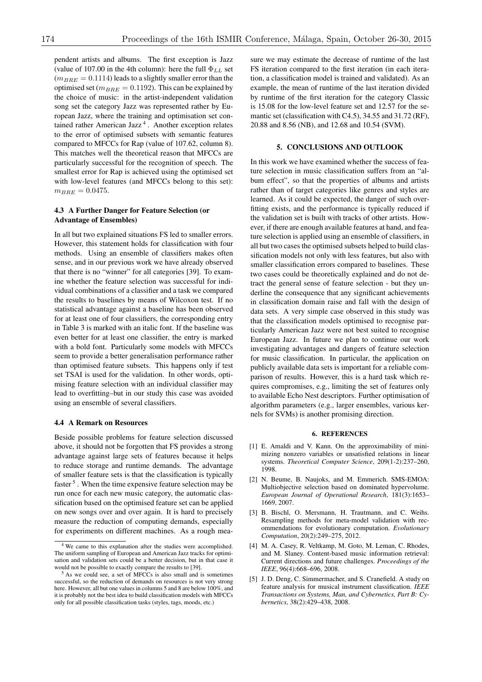pendent artists and albums. The first exception is Jazz (value of 107.00 in the 4th column): here the full  $\Phi_{LL}$  set  $(m_{BRE} = 0.1114)$  leads to a slightly smaller error than the optimised set ( $m_{BRE} = 0.1192$ ). This can be explained by the choice of music: in the artist-independent validation song set the category Jazz was represented rather by European Jazz, where the training and optimisation set contained rather American Jazz<sup> $4$ </sup>. Another exception relates to the error of optimised subsets with semantic features compared to MFCCs for Rap (value of 107.62, column 8). This matches well the theoretical reason that MFCCs are particularly successful for the recognition of speech. The smallest error for Rap is achieved using the optimised set with low-level features (and MFCCs belong to this set):  $m_{BRE} = 0.0475.$ 

### 4.3 A Further Danger for Feature Selection (or Advantage of Ensembles)

In all but two explained situations FS led to smaller errors. However, this statement holds for classification with four methods. Using an ensemble of classifiers makes often sense, and in our previous work we have already observed that there is no "winner" for all categories [39]. To examine whether the feature selection was successful for individual combinations of a classifier and a task we compared the results to baselines by means of Wilcoxon test. If no statistical advantage against a baseline has been observed for at least one of four classifiers, the corresponding entry in Table 3 is marked with an italic font. If the baseline was even better for at least one classifier, the entry is marked with a bold font. Particularly some models with MFCCs seem to provide a better generalisation performance rather than optimised feature subsets. This happens only if test set TSAI is used for the validation. In other words, optimising feature selection with an individual classifier may lead to overfitting–but in our study this case was avoided using an ensemble of several classifiers.

#### 4.4 A Remark on Resources

Beside possible problems for feature selection discussed above, it should not be forgotten that FS provides a strong advantage against large sets of features because it helps to reduce storage and runtime demands. The advantage of smaller feature sets is that the classification is typically faster <sup>5</sup> . When the time expensive feature selection may be run once for each new music category, the automatic classification based on the optimised feature set can be applied on new songs over and over again. It is hard to precisely measure the reduction of computing demands, especially for experiments on different machines. As a rough measure we may estimate the decrease of runtime of the last FS iteration compared to the first iteration (in each iteration, a classification model is trained and validated). As an example, the mean of runtime of the last iteration divided by runtime of the first iteration for the category Classic is 15.08 for the low-level feature set and 12.57 for the semantic set (classification with C4.5), 34.55 and 31.72 (RF), 20.88 and 8.56 (NB), and 12.68 and 10.54 (SVM).

#### 5. CONCLUSIONS AND OUTLOOK

In this work we have examined whether the success of feature selection in music classification suffers from an "album effect", so that the properties of albums and artists rather than of target categories like genres and styles are learned. As it could be expected, the danger of such overfitting exists, and the performance is typically reduced if the validation set is built with tracks of other artists. However, if there are enough available features at hand, and feature selection is applied using an ensemble of classifiers, in all but two cases the optimised subsets helped to build classification models not only with less features, but also with smaller classification errors compared to baselines. These two cases could be theoretically explained and do not detract the general sense of feature selection - but they underline the consequence that any significant achievements in classification domain raise and fall with the design of data sets. A very simple case observed in this study was that the classification models optimised to recognise particularly American Jazz were not best suited to recognise European Jazz. In future we plan to continue our work investigating advantages and dangers of feature selection for music classification. In particular, the application on publicly available data sets is important for a reliable comparison of results. However, this is a hard task which requires compromises, e.g., limiting the set of features only to available Echo Nest descriptors. Further optimisation of algorithm parameters (e.g., larger ensembles, various kernels for SVMs) is another promising direction.

#### 6. REFERENCES

- [1] E. Amaldi and V. Kann. On the approximability of minimizing nonzero variables or unsatisfied relations in linear systems. *Theoretical Computer Science*, 209(1-2):237–260, 1998.
- [2] N. Beume, B. Naujoks, and M. Emmerich. SMS-EMOA: Multiobjective selection based on dominated hypervolume. *European Journal of Operational Research*, 181(3):1653– 1669, 2007.
- [3] B. Bischl, O. Mersmann, H. Trautmann, and C. Weihs. Resampling methods for meta-model validation with recommendations for evolutionary computation. *Evolutionary Computation*, 20(2):249–275, 2012.
- [4] M. A. Casey, R. Veltkamp, M. Goto, M. Leman, C. Rhodes, and M. Slaney. Content-based music information retrieval: Current directions and future challenges. *Proceedings of the IEEE*, 96(4):668–696, 2008.
- [5] J. D. Deng, C. Simmermacher, and S. Cranefield. A study on feature analysis for musical instrument classification. *IEEE Transactions on Systems, Man, and Cybernetics, Part B: Cybernetics*, 38(2):429–438, 2008.

<sup>4</sup> We came to this explanation after the studies were accomplished. The uniform sampling of European and American Jazz tracks for optimisation and validation sets could be a better decision, but in that case it would not be possible to exactly compare the results to [39].

<sup>5</sup> As we could see, a set of MFCCs is also small and is sometimes successful, so the reduction of demands on resources is not very strong here. However, all but one values in columns 5 and 8 are below 100%, and it is probably not the best idea to build classification models with MFCCs only for all possible classification tasks (styles, tags, moods, etc.)